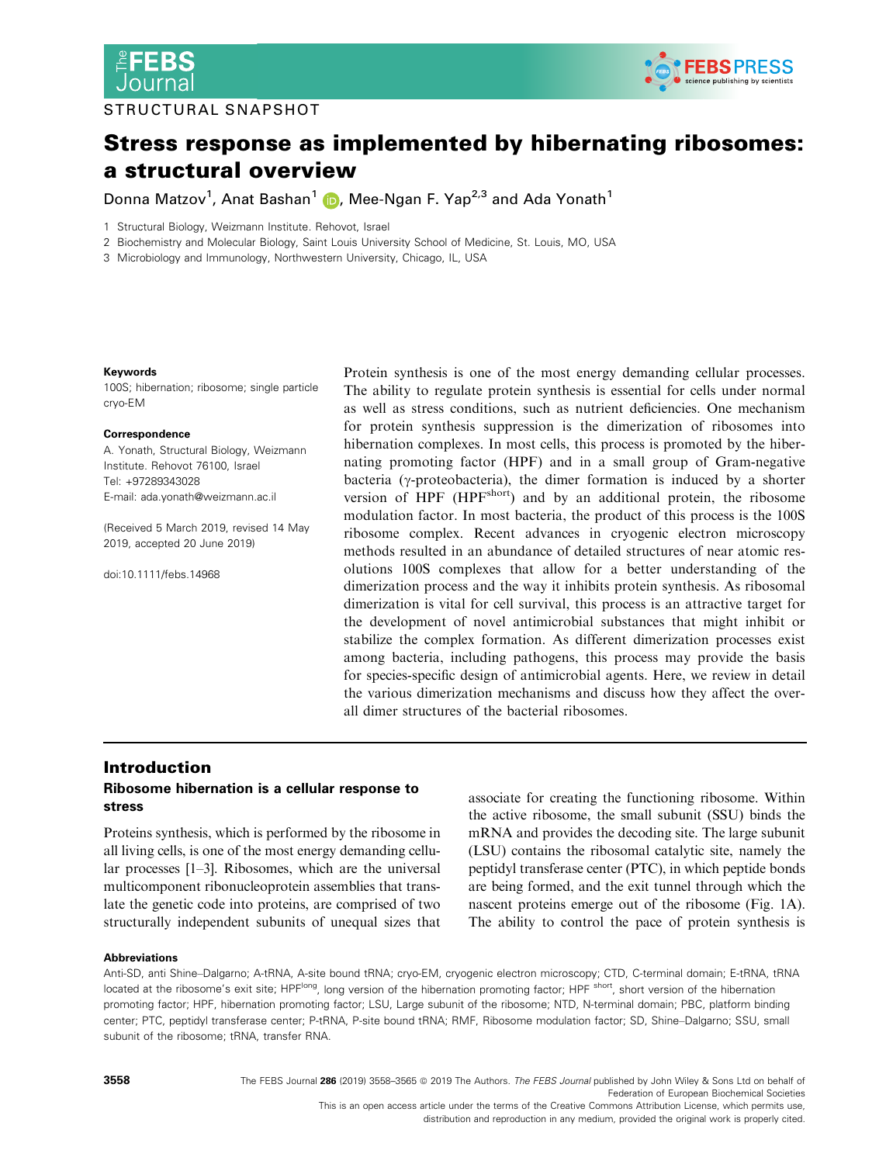## STRUCTURAL SNAPSHOT



# Stress response as implemented by hibernating ribosomes: a structural overview

Donna Matzov<sup>[1](https://orcid.org/0000-0002-7705-0466)</sup>, Anat Bashan<sup>1</sup> (D), Mee-Ngan F. Yap<sup>2,3</sup> and Ada Yonath<sup>1</sup>

1 Structural Biology, Weizmann Institute. Rehovot, Israel

2 Biochemistry and Molecular Biology, Saint Louis University School of Medicine, St. Louis, MO, USA

3 Microbiology and Immunology, Northwestern University, Chicago, IL, USA

#### Keywords

100S; hibernation; ribosome; single particle cryo-EM

#### Correspondence

A. Yonath, Structural Biology, Weizmann Institute. Rehovot 76100, Israel Tel: +97289343028 E-mail: [ada.yonath@weizmann.ac.il](mailto:)

(Received 5 March 2019, revised 14 May 2019, accepted 20 June 2019)

doi:10.1111/febs.14968

Protein synthesis is one of the most energy demanding cellular processes. The ability to regulate protein synthesis is essential for cells under normal as well as stress conditions, such as nutrient deficiencies. One mechanism for protein synthesis suppression is the dimerization of ribosomes into hibernation complexes. In most cells, this process is promoted by the hibernating promoting factor (HPF) and in a small group of Gram-negative bacteria ( $\gamma$ -proteobacteria), the dimer formation is induced by a shorter version of HPF (HPF<sup>short</sup>) and by an additional protein, the ribosome modulation factor. In most bacteria, the product of this process is the 100S ribosome complex. Recent advances in cryogenic electron microscopy methods resulted in an abundance of detailed structures of near atomic resolutions 100S complexes that allow for a better understanding of the dimerization process and the way it inhibits protein synthesis. As ribosomal dimerization is vital for cell survival, this process is an attractive target for the development of novel antimicrobial substances that might inhibit or stabilize the complex formation. As different dimerization processes exist among bacteria, including pathogens, this process may provide the basis for species-specific design of antimicrobial agents. Here, we review in detail the various dimerization mechanisms and discuss how they affect the overall dimer structures of the bacterial ribosomes.

## Introduction

## Ribosome hibernation is a cellular response to stress

Proteins synthesis, which is performed by the ribosome in all living cells, is one of the most energy demanding cellular processes [1–3]. Ribosomes, which are the universal multicomponent ribonucleoprotein assemblies that translate the genetic code into proteins, are comprised of two structurally independent subunits of unequal sizes that

associate for creating the functioning ribosome. Within the active ribosome, the small subunit (SSU) binds the mRNA and provides the decoding site. The large subunit (LSU) contains the ribosomal catalytic site, namely the peptidyl transferase center (PTC), in which peptide bonds are being formed, and the exit tunnel through which the nascent proteins emerge out of the ribosome (Fig. 1A). The ability to control the pace of protein synthesis is

#### Abbreviations

Anti-SD, anti Shine–Dalgarno; A-tRNA, A-site bound tRNA; cryo-EM, cryogenic electron microscopy; CTD, C-terminal domain; E-tRNA, tRNA located at the ribosome's exit site; HPF<sup>long</sup>, long version of the hibernation promoting factor; HPF <sup>short</sup>, short version of the hibernation promoting factor; HPF, hibernation promoting factor; LSU, Large subunit of the ribosome; NTD, N-terminal domain; PBC, platform binding center; PTC, peptidyl transferase center; P-tRNA, P-site bound tRNA; RMF, Ribosome modulation factor; SD, Shine–Dalgarno; SSU, small subunit of the ribosome; tRNA, transfer RNA.

<sup>3558</sup> The FEBS Journal 286 (2019) 3558-3565 @ 2019 The Authors. The FEBS Journal published by John Wiley & Sons Ltd on behalf of Federation of European Biochemical Societies This is an open access article under the terms of the [Creative Commons Attribution](http://creativecommons.org/licenses/by/4.0/) License, which permits use,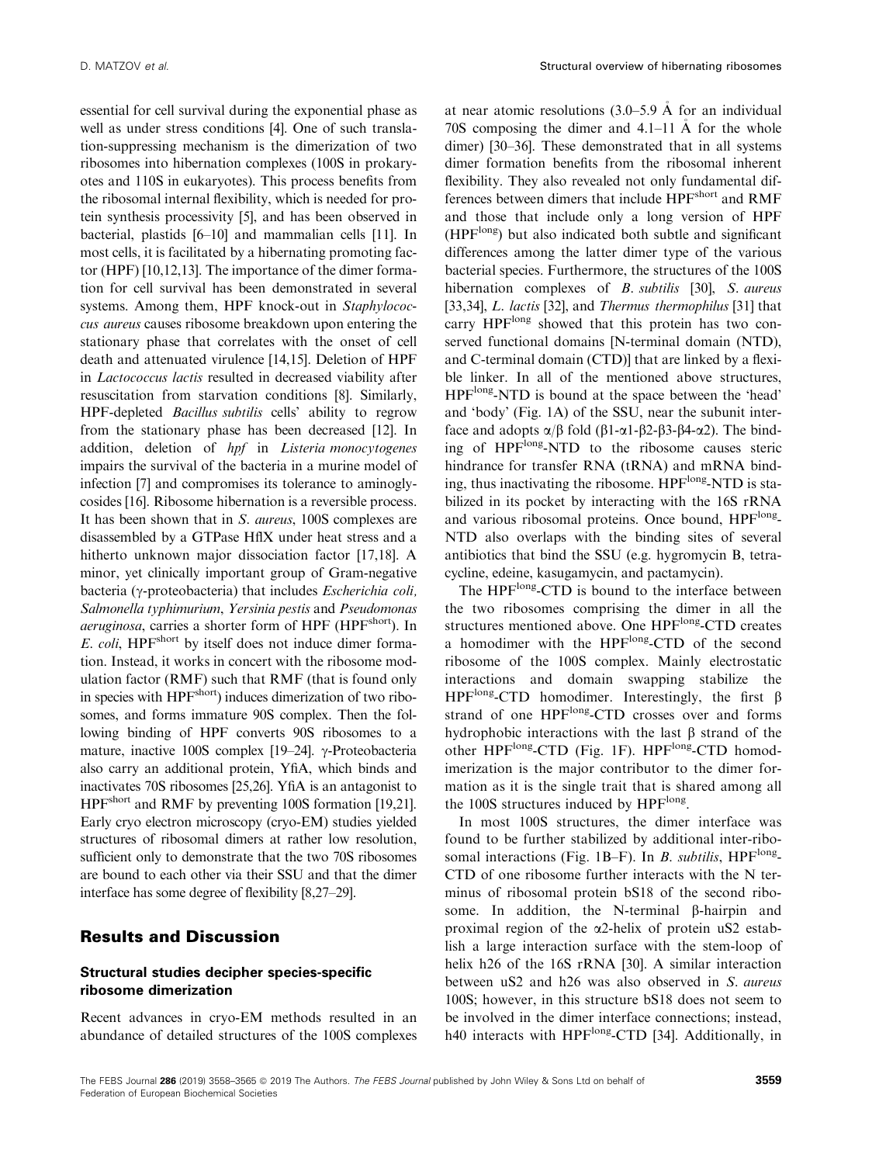D. MATZOV et al. Structural overview of hibernating ribosomes

essential for cell survival during the exponential phase as well as under stress conditions [4]. One of such translation-suppressing mechanism is the dimerization of two ribosomes into hibernation complexes (100S in prokaryotes and 110S in eukaryotes). This process benefits from the ribosomal internal flexibility, which is needed for protein synthesis processivity [5], and has been observed in bacterial, plastids [6–10] and mammalian cells [11]. In most cells, it is facilitated by a hibernating promoting factor (HPF) [10,12,13]. The importance of the dimer formation for cell survival has been demonstrated in several systems. Among them, HPF knock-out in Staphylococcus aureus causes ribosome breakdown upon entering the stationary phase that correlates with the onset of cell death and attenuated virulence [14,15]. Deletion of HPF in Lactococcus lactis resulted in decreased viability after resuscitation from starvation conditions [8]. Similarly, HPF-depleted Bacillus subtilis cells' ability to regrow from the stationary phase has been decreased [12]. In addition, deletion of hpf in Listeria monocytogenes impairs the survival of the bacteria in a murine model of infection [7] and compromises its tolerance to aminoglycosides [16]. Ribosome hibernation is a reversible process. It has been shown that in S. *aureus*, 100S complexes are disassembled by a GTPase HflX under heat stress and a hitherto unknown major dissociation factor [17,18]. A minor, yet clinically important group of Gram-negative bacteria ( $\gamma$ -proteobacteria) that includes *Escherichia coli*, Salmonella typhimurium, Yersinia pestis and Pseudomonas aeruginosa, carries a shorter form of HPF (HPFshort). In  $E.$  coli, HPF<sup>short</sup> by itself does not induce dimer formation. Instead, it works in concert with the ribosome modulation factor (RMF) such that RMF (that is found only in species with HPF<sup>short</sup>) induces dimerization of two ribosomes, and forms immature 90S complex. Then the following binding of HPF converts 90S ribosomes to a mature, inactive 100S complex [19–24].  $\gamma$ -Proteobacteria also carry an additional protein, YfiA, which binds and inactivates 70S ribosomes [25,26]. YfiA is an antagonist to HPFshort and RMF by preventing 100S formation [19,21]. Early cryo electron microscopy (cryo-EM) studies yielded structures of ribosomal dimers at rather low resolution, sufficient only to demonstrate that the two 70S ribosomes are bound to each other via their SSU and that the dimer interface has some degree of flexibility [8,27–29].

## Results and Discussion

#### Structural studies decipher species-specific ribosome dimerization

Recent advances in cryo-EM methods resulted in an abundance of detailed structures of the 100S complexes

at near atomic resolutions  $(3.0-5.9 \text{ Å}$  for an individual 70S composing the dimer and  $4.1-11$  Å for the whole dimer) [30–36]. These demonstrated that in all systems dimer formation benefits from the ribosomal inherent flexibility. They also revealed not only fundamental differences between dimers that include HPF<sup>short</sup> and RMF and those that include only a long version of HPF (HPF<sup>long</sup>) but also indicated both subtle and significant differences among the latter dimer type of the various bacterial species. Furthermore, the structures of the 100S hibernation complexes of *B. subtilis* [30], *S. aureus* [33,34], *L. lactis* [32], and *Thermus thermophilus* [31] that carry HPF<sup>long</sup> showed that this protein has two conserved functional domains [N-terminal domain (NTD), and C-terminal domain (CTD)] that are linked by a flexible linker. In all of the mentioned above structures, HPF<sup>long</sup>-NTD is bound at the space between the 'head' and 'body' (Fig. 1A) of the SSU, near the subunit interface and adopts  $\alpha/\beta$  fold ( $\beta$ 1- $\alpha$ 1- $\beta$ 2- $\beta$ 3- $\beta$ 4- $\alpha$ 2). The binding of HPF<sup>long</sup>-NTD to the ribosome causes steric hindrance for transfer RNA (tRNA) and mRNA binding, thus inactivating the ribosome.  $HPF<sup>long</sup>-NTD$  is stabilized in its pocket by interacting with the 16S rRNA and various ribosomal proteins. Once bound, HPF<sup>long</sup>-NTD also overlaps with the binding sites of several antibiotics that bind the SSU (e.g. hygromycin B, tetracycline, edeine, kasugamycin, and pactamycin).

The HPF<sup>long</sup>-CTD is bound to the interface between the two ribosomes comprising the dimer in all the structures mentioned above. One HPFlong-CTD creates a homodimer with the HPF<sup>long</sup>-CTD of the second ribosome of the 100S complex. Mainly electrostatic interactions and domain swapping stabilize the  $HPF<sup>long</sup>-CTD$  homodimer. Interestingly, the first  $\beta$ strand of one HPF<sup>long</sup>-CTD crosses over and forms hydrophobic interactions with the last  $\beta$  strand of the other HPF<sup>long</sup>-CTD (Fig. 1F). HPF<sup>long</sup>-CTD homodimerization is the major contributor to the dimer formation as it is the single trait that is shared among all the 100S structures induced by HPF<sup>long</sup>.

In most 100S structures, the dimer interface was found to be further stabilized by additional inter-ribosomal interactions (Fig. 1B–F). In B. subtilis,  $HPF<sup>long</sup>$ CTD of one ribosome further interacts with the N terminus of ribosomal protein bS18 of the second ribosome. In addition, the N-terminal  $\beta$ -hairpin and proximal region of the a2-helix of protein uS2 establish a large interaction surface with the stem-loop of helix h26 of the 16S rRNA [30]. A similar interaction between uS2 and h26 was also observed in S. aureus 100S; however, in this structure bS18 does not seem to be involved in the dimer interface connections; instead, h40 interacts with HPF<sup>long</sup>-CTD [34]. Additionally, in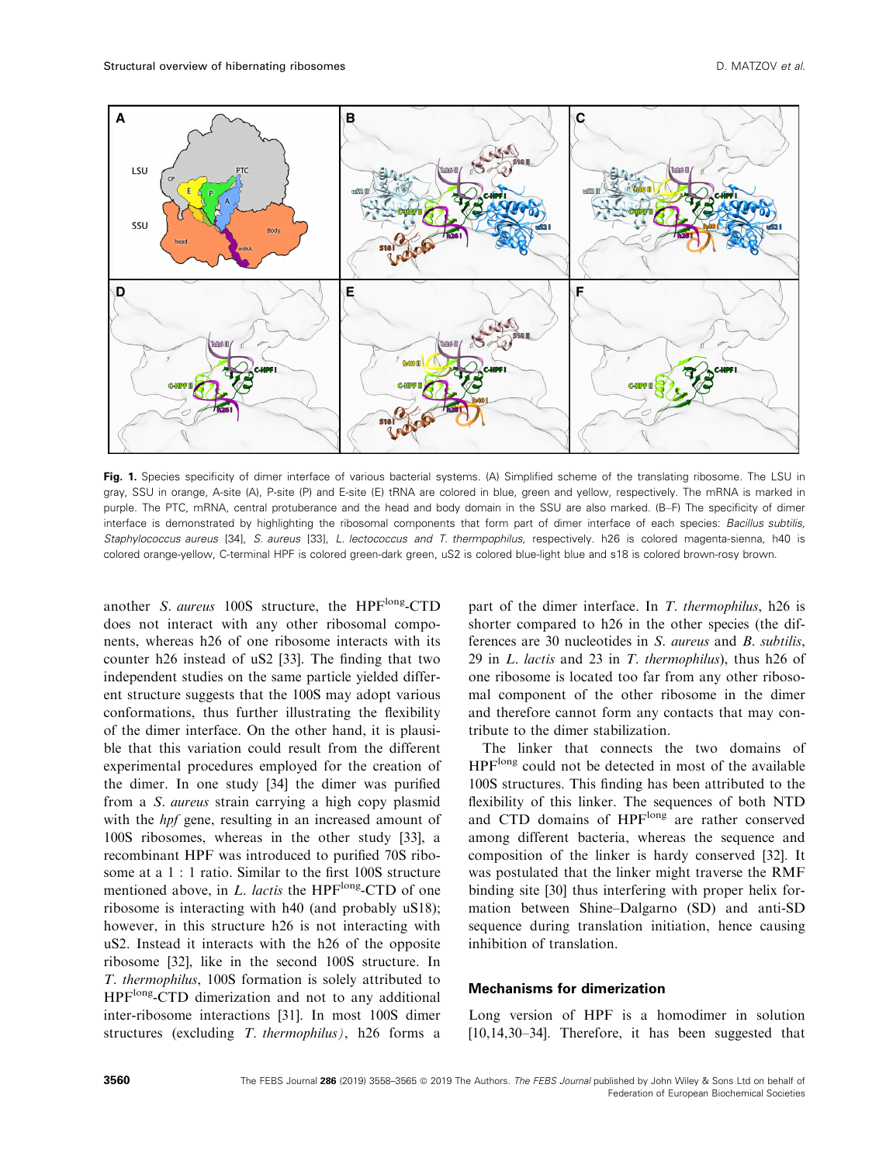

Fig. 1. Species specificity of dimer interface of various bacterial systems. (A) Simplified scheme of the translating ribosome. The LSU in gray, SSU in orange, A-site (A), P-site (P) and E-site (E) tRNA are colored in blue, green and yellow, respectively. The mRNA is marked in purple. The PTC, mRNA, central protuberance and the head and body domain in the SSU are also marked. (B–F) The specificity of dimer interface is demonstrated by highlighting the ribosomal components that form part of dimer interface of each species: Bacillus subtilis, Staphylococcus aureus [34], S. aureus [33], L. lectococcus and T. thermpophilus, respectively. h26 is colored magenta-sienna, h40 is colored orange-yellow, C-terminal HPF is colored green-dark green, uS2 is colored blue-light blue and s18 is colored brown-rosy brown.

another  $S.$  aureus 100S structure, the HPF $\text{long-CTD}$ does not interact with any other ribosomal components, whereas h26 of one ribosome interacts with its counter h26 instead of uS2 [33]. The finding that two independent studies on the same particle yielded different structure suggests that the 100S may adopt various conformations, thus further illustrating the flexibility of the dimer interface. On the other hand, it is plausible that this variation could result from the different experimental procedures employed for the creation of the dimer. In one study [34] the dimer was purified from a S. aureus strain carrying a high copy plasmid with the *hpf* gene, resulting in an increased amount of 100S ribosomes, whereas in the other study [33], a recombinant HPF was introduced to purified 70S ribosome at a 1 : 1 ratio. Similar to the first 100S structure mentioned above, in  $L$ . *lactis* the HPF<sup>long</sup>-CTD of one ribosome is interacting with h40 (and probably uS18); however, in this structure h26 is not interacting with uS2. Instead it interacts with the h26 of the opposite ribosome [32], like in the second 100S structure. In T. thermophilus, 100S formation is solely attributed to HPF<sup>long</sup>-CTD dimerization and not to any additional inter-ribosome interactions [31]. In most 100S dimer structures (excluding T. thermophilus), h26 forms a

part of the dimer interface. In T. thermophilus, h26 is shorter compared to h26 in the other species (the differences are 30 nucleotides in S. aureus and B. subtilis, 29 in  $L$ . lactis and 23 in  $T$ . thermophilus), thus h26 of one ribosome is located too far from any other ribosomal component of the other ribosome in the dimer and therefore cannot form any contacts that may contribute to the dimer stabilization.

The linker that connects the two domains of  $HPF<sup>long</sup>$  could not be detected in most of the available 100S structures. This finding has been attributed to the flexibility of this linker. The sequences of both NTD and CTD domains of HPF<sup>long</sup> are rather conserved among different bacteria, whereas the sequence and composition of the linker is hardy conserved [32]. It was postulated that the linker might traverse the RMF binding site [30] thus interfering with proper helix formation between Shine–Dalgarno (SD) and anti-SD sequence during translation initiation, hence causing inhibition of translation.

#### Mechanisms for dimerization

Long version of HPF is a homodimer in solution [10,14,30–34]. Therefore, it has been suggested that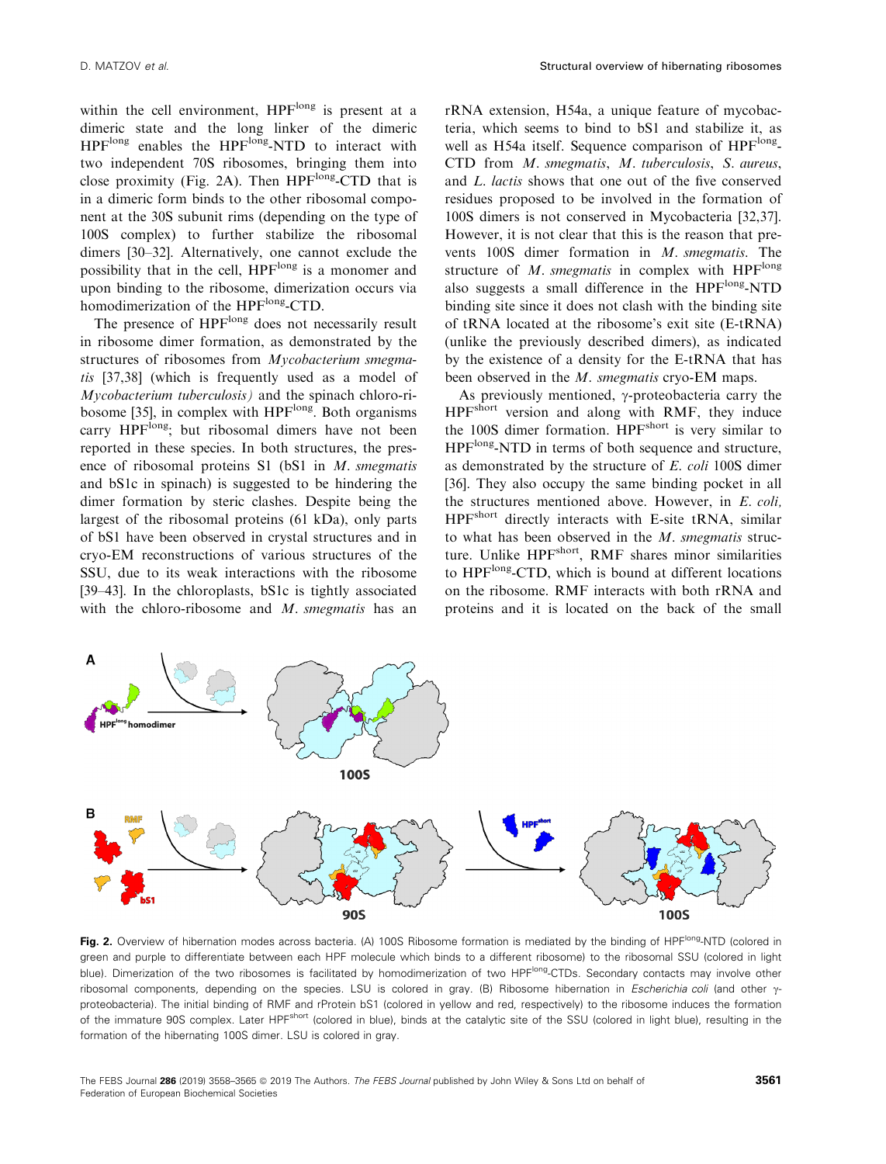within the cell environment, HPFlong is present at a dimeric state and the long linker of the dimeric HPF<sup>long</sup> enables the HPF<sup>long</sup>-NTD to interact with two independent 70S ribosomes, bringing them into close proximity (Fig. 2A). Then HPF<sup>long</sup>-CTD that is in a dimeric form binds to the other ribosomal component at the 30S subunit rims (depending on the type of 100S complex) to further stabilize the ribosomal dimers [30–32]. Alternatively, one cannot exclude the possibility that in the cell, HPF<sup>long</sup> is a monomer and upon binding to the ribosome, dimerization occurs via homodimerization of the HPF<sup>long</sup>-CTD.

The presence of HPF<sup>long</sup> does not necessarily result in ribosome dimer formation, as demonstrated by the structures of ribosomes from Mycobacterium smegmatis [37,38] (which is frequently used as a model of Mycobacterium tuberculosis) and the spinach chloro-ribosome [35], in complex with  $HPF<sup>long</sup>$ . Both organisms carry HPF<sup>long</sup>; but ribosomal dimers have not been reported in these species. In both structures, the presence of ribosomal proteins S1 (bS1 in M. smegmatis and bS1c in spinach) is suggested to be hindering the dimer formation by steric clashes. Despite being the largest of the ribosomal proteins (61 kDa), only parts of bS1 have been observed in crystal structures and in cryo-EM reconstructions of various structures of the SSU, due to its weak interactions with the ribosome [39–43]. In the chloroplasts, bS1c is tightly associated with the chloro-ribosome and M. *smegmatis* has an

rRNA extension, H54a, a unique feature of mycobacteria, which seems to bind to bS1 and stabilize it, as well as H54a itself. Sequence comparison of HPF<sup>long</sup>-CTD from M. smegmatis, M. tuberculosis, S. aureus, and L. lactis shows that one out of the five conserved residues proposed to be involved in the formation of 100S dimers is not conserved in Mycobacteria [32,37]. However, it is not clear that this is the reason that prevents 100S dimer formation in M. smegmatis. The structure of  $M$ . smegmatis in complex with  $HPF<sup>long</sup>$ also suggests a small difference in the  $HPF<sup>long</sup>-NTD$ binding site since it does not clash with the binding site of tRNA located at the ribosome's exit site (E-tRNA) (unlike the previously described dimers), as indicated by the existence of a density for the E-tRNA that has been observed in the *M. smegmatis* cryo-EM maps.

As previously mentioned,  $\gamma$ -proteobacteria carry the HPFshort version and along with RMF, they induce the 100S dimer formation. HPF<sup>short</sup> is very similar to HPF<sup>long</sup>-NTD in terms of both sequence and structure, as demonstrated by the structure of E. coli 100S dimer [36]. They also occupy the same binding pocket in all the structures mentioned above. However, in E. coli, HPFshort directly interacts with E-site tRNA, similar to what has been observed in the  $M$ . smegmatis structure. Unlike HPF<sup>short</sup>, RMF shares minor similarities to HPF<sup>long</sup>-CTD, which is bound at different locations on the ribosome. RMF interacts with both rRNA and proteins and it is located on the back of the small



Fig. 2. Overview of hibernation modes across bacteria. (A) 100S Ribosome formation is mediated by the binding of HPF<sup>long</sup>-NTD (colored in green and purple to differentiate between each HPF molecule which binds to a different ribosome) to the ribosomal SSU (colored in light blue). Dimerization of the two ribosomes is facilitated by homodimerization of two HPF<sup>long</sup>-CTDs. Secondary contacts may involve other ribosomal components, depending on the species. LSU is colored in gray. (B) Ribosome hibernation in *Escherichia coli* (and other  $\gamma$ proteobacteria). The initial binding of RMF and rProtein bS1 (colored in yellow and red, respectively) to the ribosome induces the formation of the immature 90S complex. Later HPF<sup>short</sup> (colored in blue), binds at the catalytic site of the SSU (colored in light blue), resulting in the formation of the hibernating 100S dimer. LSU is colored in gray.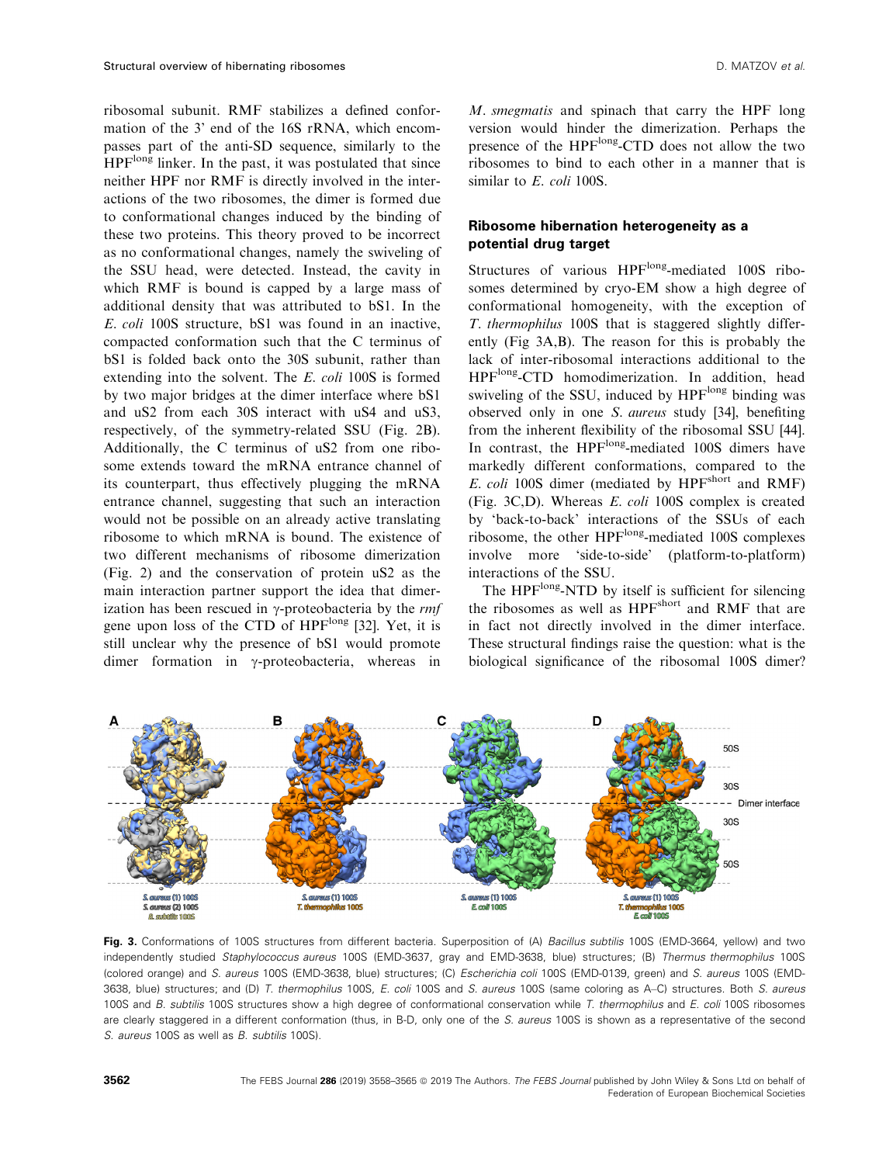ribosomal subunit. RMF stabilizes a defined conformation of the 3' end of the 16S rRNA, which encompasses part of the anti-SD sequence, similarly to the  $HPF<sup>long</sup>$  linker. In the past, it was postulated that since neither HPF nor RMF is directly involved in the interactions of the two ribosomes, the dimer is formed due to conformational changes induced by the binding of these two proteins. This theory proved to be incorrect as no conformational changes, namely the swiveling of the SSU head, were detected. Instead, the cavity in which RMF is bound is capped by a large mass of additional density that was attributed to bS1. In the E. coli 100S structure, bS1 was found in an inactive, compacted conformation such that the C terminus of bS1 is folded back onto the 30S subunit, rather than extending into the solvent. The E. coli 100S is formed by two major bridges at the dimer interface where bS1 and uS2 from each 30S interact with uS4 and uS3, respectively, of the symmetry-related SSU (Fig. 2B). Additionally, the C terminus of uS2 from one ribosome extends toward the mRNA entrance channel of its counterpart, thus effectively plugging the mRNA entrance channel, suggesting that such an interaction would not be possible on an already active translating ribosome to which mRNA is bound. The existence of two different mechanisms of ribosome dimerization (Fig. 2) and the conservation of protein uS2 as the main interaction partner support the idea that dimerization has been rescued in  $\gamma$ -proteobacteria by the *rmf* gene upon loss of the CTD of  $HPF^{long}$  [32]. Yet, it is still unclear why the presence of bS1 would promote dimer formation in  $\gamma$ -proteobacteria, whereas in

M. smegmatis and spinach that carry the HPF long version would hinder the dimerization. Perhaps the presence of the HPF<sup>long</sup>-CTD does not allow the two ribosomes to bind to each other in a manner that is similar to E. coli 100S.

## Ribosome hibernation heterogeneity as a potential drug target

Structures of various HPF<sup>long</sup>-mediated 100S ribosomes determined by cryo-EM show a high degree of conformational homogeneity, with the exception of T. thermophilus 100S that is staggered slightly differently (Fig 3A,B). The reason for this is probably the lack of inter-ribosomal interactions additional to the  $HPF<sup>long</sup>-CTD$  homodimerization. In addition, head swiveling of the SSU, induced by HPF<sup>long</sup> binding was observed only in one S. aureus study [34], benefiting from the inherent flexibility of the ribosomal SSU [44]. In contrast, the HPF<sup>long</sup>-mediated 100S dimers have markedly different conformations, compared to the E. coli 100S dimer (mediated by HPF<sup>short</sup> and RMF) (Fig. 3C,D). Whereas E. coli 100S complex is created by 'back-to-back' interactions of the SSUs of each ribosome, the other  $HPF<sup>long</sup>$ -mediated 100S complexes involve more 'side-to-side' (platform-to-platform) interactions of the SSU.

The HPF<sup>long</sup>-NTD by itself is sufficient for silencing the ribosomes as well as HPF<sup>short</sup> and RMF that are in fact not directly involved in the dimer interface. These structural findings raise the question: what is the biological significance of the ribosomal 100S dimer?



Fig. 3. Conformations of 100S structures from different bacteria. Superposition of (A) Bacillus subtilis 100S (EMD-3664, yellow) and two independently studied Staphylococcus aureus 100S (EMD-3637, gray and EMD-3638, blue) structures; (B) Thermus thermophilus 100S (colored orange) and S. aureus 100S (EMD-3638, blue) structures; (C) Escherichia coli 100S (EMD-0139, green) and S. aureus 100S (EMD-3638, blue) structures; and (D) T. thermophilus 100S, E. coli 100S and S. aureus 100S (same coloring as A–C) structures. Both S. aureus 100S and B. subtilis 100S structures show a high degree of conformational conservation while T. thermophilus and E. coli 100S ribosomes are clearly staggered in a different conformation (thus, in B-D, only one of the S. aureus 100S is shown as a representative of the second S. aureus 100S as well as B. subtilis 100S).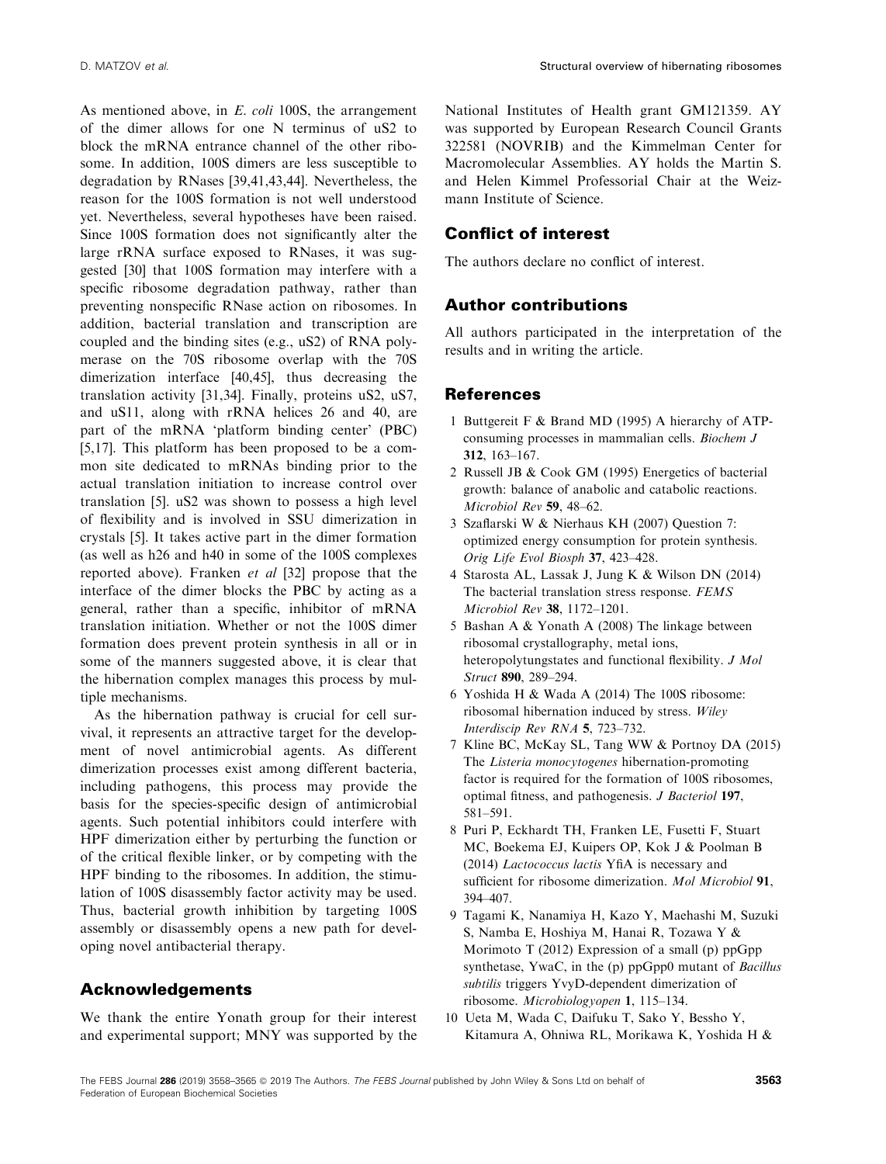As mentioned above, in E. coli 100S, the arrangement of the dimer allows for one N terminus of uS2 to block the mRNA entrance channel of the other ribosome. In addition, 100S dimers are less susceptible to degradation by RNases [39,41,43,44]. Nevertheless, the reason for the 100S formation is not well understood yet. Nevertheless, several hypotheses have been raised. Since 100S formation does not significantly alter the large rRNA surface exposed to RNases, it was suggested [30] that 100S formation may interfere with a specific ribosome degradation pathway, rather than preventing nonspecific RNase action on ribosomes. In addition, bacterial translation and transcription are coupled and the binding sites (e.g., uS2) of RNA polymerase on the 70S ribosome overlap with the 70S dimerization interface [40,45], thus decreasing the translation activity [31,34]. Finally, proteins uS2, uS7, and uS11, along with rRNA helices 26 and 40, are part of the mRNA 'platform binding center' (PBC) [5,17]. This platform has been proposed to be a common site dedicated to mRNAs binding prior to the actual translation initiation to increase control over translation [5]. uS2 was shown to possess a high level of flexibility and is involved in SSU dimerization in crystals [5]. It takes active part in the dimer formation (as well as h26 and h40 in some of the 100S complexes reported above). Franken et al [32] propose that the interface of the dimer blocks the PBC by acting as a general, rather than a specific, inhibitor of mRNA translation initiation. Whether or not the 100S dimer formation does prevent protein synthesis in all or in some of the manners suggested above, it is clear that the hibernation complex manages this process by multiple mechanisms.

As the hibernation pathway is crucial for cell survival, it represents an attractive target for the development of novel antimicrobial agents. As different dimerization processes exist among different bacteria, including pathogens, this process may provide the basis for the species-specific design of antimicrobial agents. Such potential inhibitors could interfere with HPF dimerization either by perturbing the function or of the critical flexible linker, or by competing with the HPF binding to the ribosomes. In addition, the stimulation of 100S disassembly factor activity may be used. Thus, bacterial growth inhibition by targeting 100S assembly or disassembly opens a new path for developing novel antibacterial therapy.

# Acknowledgements

We thank the entire Yonath group for their interest and experimental support; MNY was supported by the

National Institutes of Health grant GM121359. AY was supported by European Research Council Grants 322581 (NOVRIB) and the Kimmelman Center for Macromolecular Assemblies. AY holds the Martin S. and Helen Kimmel Professorial Chair at the Weizmann Institute of Science.

## Conflict of interest

The authors declare no conflict of interest.

# Author contributions

All authors participated in the interpretation of the results and in writing the article.

# References

- 1 Buttgereit F & Brand MD (1995) A hierarchy of ATPconsuming processes in mammalian cells. Biochem J 312, 163–167.
- 2 Russell JB & Cook GM (1995) Energetics of bacterial growth: balance of anabolic and catabolic reactions. Microbiol Rev 59, 48–62.
- 3 Szaflarski W & Nierhaus KH (2007) Question 7: optimized energy consumption for protein synthesis. Orig Life Evol Biosph 37, 423–428.
- 4 Starosta AL, Lassak J, Jung K & Wilson DN (2014) The bacterial translation stress response. FEMS Microbiol Rev 38, 1172–1201.
- 5 Bashan A & Yonath A (2008) The linkage between ribosomal crystallography, metal ions, heteropolytungstates and functional flexibility. J Mol Struct 890, 289–294.
- 6 Yoshida H & Wada A (2014) The 100S ribosome: ribosomal hibernation induced by stress. Wiley Interdiscip Rev RNA 5, 723–732.
- 7 Kline BC, McKay SL, Tang WW & Portnoy DA (2015) The Listeria monocytogenes hibernation-promoting factor is required for the formation of 100S ribosomes, optimal fitness, and pathogenesis. J Bacteriol 197, 581–591.
- 8 Puri P, Eckhardt TH, Franken LE, Fusetti F, Stuart MC, Boekema EJ, Kuipers OP, Kok J & Poolman B (2014) Lactococcus lactis YfiA is necessary and sufficient for ribosome dimerization. Mol Microbiol 91, 394–407.
- 9 Tagami K, Nanamiya H, Kazo Y, Maehashi M, Suzuki S, Namba E, Hoshiya M, Hanai R, Tozawa Y & Morimoto T (2012) Expression of a small (p) ppGpp synthetase, YwaC, in the (p) ppGpp0 mutant of Bacillus subtilis triggers YvyD-dependent dimerization of ribosome. Microbiologyopen 1, 115–134.
- 10 Ueta M, Wada C, Daifuku T, Sako Y, Bessho Y, Kitamura A, Ohniwa RL, Morikawa K, Yoshida H &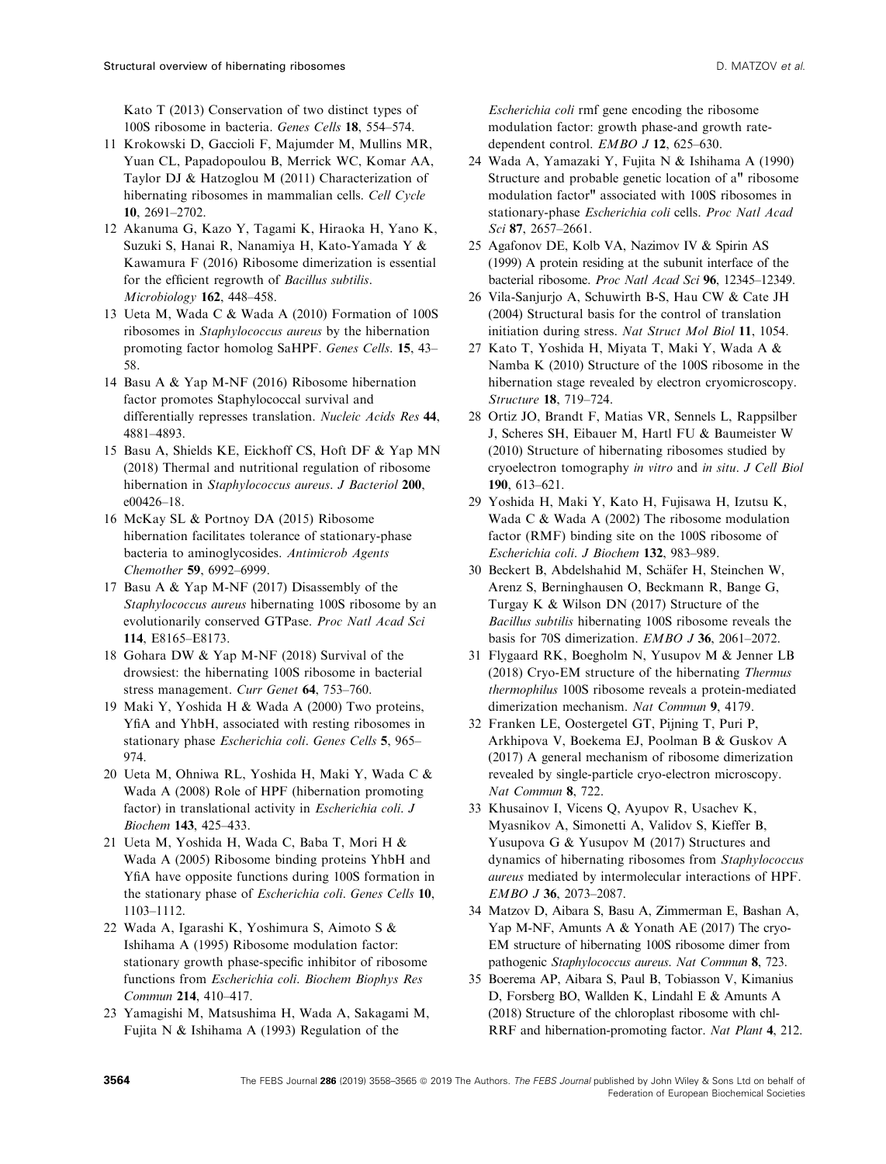Kato T (2013) Conservation of two distinct types of 100S ribosome in bacteria. Genes Cells 18, 554–574.

- 11 Krokowski D, Gaccioli F, Majumder M, Mullins MR, Yuan CL, Papadopoulou B, Merrick WC, Komar AA, Taylor DJ & Hatzoglou M (2011) Characterization of hibernating ribosomes in mammalian cells. Cell Cycle 10, 2691–2702.
- 12 Akanuma G, Kazo Y, Tagami K, Hiraoka H, Yano K, Suzuki S, Hanai R, Nanamiya H, Kato-Yamada Y & Kawamura F (2016) Ribosome dimerization is essential for the efficient regrowth of Bacillus subtilis. Microbiology 162, 448–458.
- 13 Ueta M, Wada C & Wada A (2010) Formation of 100S ribosomes in Staphylococcus aureus by the hibernation promoting factor homolog SaHPF. Genes Cells. 15, 43– 58.
- 14 Basu A & Yap M-NF (2016) Ribosome hibernation factor promotes Staphylococcal survival and differentially represses translation. Nucleic Acids Res 44, 4881–4893.
- 15 Basu A, Shields KE, Eickhoff CS, Hoft DF & Yap MN (2018) Thermal and nutritional regulation of ribosome hibernation in Staphylococcus aureus. J Bacteriol 200, e00426–18.
- 16 McKay SL & Portnoy DA (2015) Ribosome hibernation facilitates tolerance of stationary-phase bacteria to aminoglycosides. Antimicrob Agents Chemother 59, 6992–6999.
- 17 Basu A & Yap M-NF (2017) Disassembly of the Staphylococcus aureus hibernating 100S ribosome by an evolutionarily conserved GTPase. Proc Natl Acad Sci 114, E8165–E8173.
- 18 Gohara DW & Yap M-NF (2018) Survival of the drowsiest: the hibernating 100S ribosome in bacterial stress management. Curr Genet 64, 753–760.
- 19 Maki Y, Yoshida H & Wada A (2000) Two proteins, YfiA and YhbH, associated with resting ribosomes in stationary phase Escherichia coli. Genes Cells 5, 965– 974.
- 20 Ueta M, Ohniwa RL, Yoshida H, Maki Y, Wada C & Wada A (2008) Role of HPF (hibernation promoting factor) in translational activity in Escherichia coli. J Biochem 143, 425–433.
- 21 Ueta M, Yoshida H, Wada C, Baba T, Mori H & Wada A (2005) Ribosome binding proteins YhbH and YfiA have opposite functions during 100S formation in the stationary phase of Escherichia coli. Genes Cells 10, 1103–1112.
- 22 Wada A, Igarashi K, Yoshimura S, Aimoto S & Ishihama A (1995) Ribosome modulation factor: stationary growth phase-specific inhibitor of ribosome functions from Escherichia coli. Biochem Biophys Res Commun 214, 410–417.
- 23 Yamagishi M, Matsushima H, Wada A, Sakagami M, Fujita N & Ishihama A (1993) Regulation of the

Escherichia coli rmf gene encoding the ribosome modulation factor: growth phase-and growth ratedependent control. EMBO J 12, 625–630.

- 24 Wada A, Yamazaki Y, Fujita N & Ishihama A (1990) Structure and probable genetic location of a" ribosome modulation factor" associated with 100S ribosomes in stationary-phase Escherichia coli cells. Proc Natl Acad Sci 87, 2657-2661.
- 25 Agafonov DE, Kolb VA, Nazimov IV & Spirin AS (1999) A protein residing at the subunit interface of the bacterial ribosome. Proc Natl Acad Sci 96, 12345–12349.
- 26 Vila-Sanjurjo A, Schuwirth B-S, Hau CW & Cate JH (2004) Structural basis for the control of translation initiation during stress. Nat Struct Mol Biol 11, 1054.
- 27 Kato T, Yoshida H, Miyata T, Maki Y, Wada A & Namba K (2010) Structure of the 100S ribosome in the hibernation stage revealed by electron cryomicroscopy. Structure 18, 719–724.
- 28 Ortiz JO, Brandt F, Matias VR, Sennels L, Rappsilber J, Scheres SH, Eibauer M, Hartl FU & Baumeister W (2010) Structure of hibernating ribosomes studied by cryoelectron tomography in vitro and in situ. J Cell Biol 190, 613–621.
- 29 Yoshida H, Maki Y, Kato H, Fujisawa H, Izutsu K, Wada C & Wada A (2002) The ribosome modulation factor (RMF) binding site on the 100S ribosome of Escherichia coli. J Biochem 132, 983–989.
- 30 Beckert B, Abdelshahid M, Schäfer H, Steinchen W, Arenz S, Berninghausen O, Beckmann R, Bange G, Turgay K & Wilson DN (2017) Structure of the Bacillus subtilis hibernating 100S ribosome reveals the basis for 70S dimerization. EMBO J 36, 2061–2072.
- 31 Flygaard RK, Boegholm N, Yusupov M & Jenner LB (2018) Cryo-EM structure of the hibernating Thermus thermophilus 100S ribosome reveals a protein-mediated dimerization mechanism. Nat Commun 9, 4179.
- 32 Franken LE, Oostergetel GT, Pijning T, Puri P, Arkhipova V, Boekema EJ, Poolman B & Guskov A (2017) A general mechanism of ribosome dimerization revealed by single-particle cryo-electron microscopy. Nat Commun 8, 722.
- 33 Khusainov I, Vicens Q, Ayupov R, Usachev K, Myasnikov A, Simonetti A, Validov S, Kieffer B, Yusupova G & Yusupov M (2017) Structures and dynamics of hibernating ribosomes from Staphylococcus aureus mediated by intermolecular interactions of HPF. EMBO J 36, 2073–2087.
- 34 Matzov D, Aibara S, Basu A, Zimmerman E, Bashan A, Yap M-NF, Amunts A & Yonath AE (2017) The cryo-EM structure of hibernating 100S ribosome dimer from pathogenic Staphylococcus aureus. Nat Commun 8, 723.
- 35 Boerema AP, Aibara S, Paul B, Tobiasson V, Kimanius D, Forsberg BO, Wallden K, Lindahl E & Amunts A (2018) Structure of the chloroplast ribosome with chl-RRF and hibernation-promoting factor. Nat Plant 4, 212.